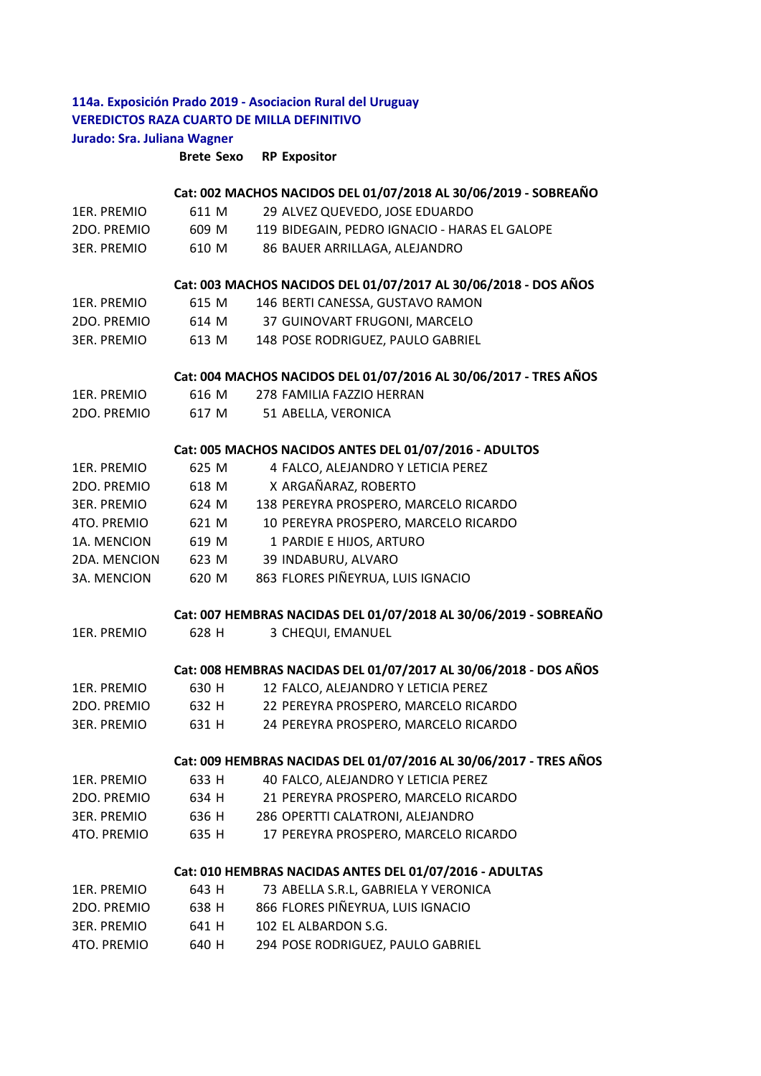## **114a. Exposición Prado 2019 ‐ Asociacion Rural del Uruguay VEREDICTOS RAZA CUARTO DE MILLA DEFINITIVO Jurado: Sra. Juliana Wagner**

**Brete Sexo RP Expositor**

|                    |       | Cat: 002 MACHOS NACIDOS DEL 01/07/2018 AL 30/06/2019 - SOBREAÑO   |
|--------------------|-------|-------------------------------------------------------------------|
| 1ER. PREMIO        | 611 M | 29 ALVEZ QUEVEDO, JOSE EDUARDO                                    |
| 2DO. PREMIO        | 609 M | 119 BIDEGAIN, PEDRO IGNACIO - HARAS EL GALOPE                     |
| <b>3ER. PREMIO</b> | 610 M | 86 BAUER ARRILLAGA, ALEJANDRO                                     |
|                    |       | Cat: 003 MACHOS NACIDOS DEL 01/07/2017 AL 30/06/2018 - DOS AÑOS   |
| 1ER. PREMIO        | 615 M | 146 BERTI CANESSA, GUSTAVO RAMON                                  |
| 2DO. PREMIO        | 614 M | 37 GUINOVART FRUGONI, MARCELO                                     |
| <b>3ER. PREMIO</b> | 613 M | 148 POSE RODRIGUEZ, PAULO GABRIEL                                 |
|                    |       | Cat: 004 MACHOS NACIDOS DEL 01/07/2016 AL 30/06/2017 - TRES AÑOS  |
| 1ER. PREMIO        | 616 M | 278 FAMILIA FAZZIO HERRAN                                         |
| 2DO. PREMIO        | 617 M | 51 ABELLA, VERONICA                                               |
|                    |       | Cat: 005 MACHOS NACIDOS ANTES DEL 01/07/2016 - ADULTOS            |
| 1ER. PREMIO        | 625 M | 4 FALCO, ALEJANDRO Y LETICIA PEREZ                                |
| 2DO. PREMIO        | 618 M | X ARGAÑARAZ, ROBERTO                                              |
| <b>3ER. PREMIO</b> | 624 M | 138 PEREYRA PROSPERO, MARCELO RICARDO                             |
| 4TO. PREMIO        | 621 M | 10 PEREYRA PROSPERO, MARCELO RICARDO                              |
| 1A. MENCION        | 619 M | 1 PARDIE E HIJOS, ARTURO                                          |
| 2DA. MENCION       | 623 M | 39 INDABURU, ALVARO                                               |
| 3A. MENCION        | 620 M | 863 FLORES PIÑEYRUA, LUIS IGNACIO                                 |
|                    |       | Cat: 007 HEMBRAS NACIDAS DEL 01/07/2018 AL 30/06/2019 - SOBREAÑO  |
| 1ER. PREMIO        | 628 H | 3 CHEQUI, EMANUEL                                                 |
|                    |       |                                                                   |
|                    |       | Cat: 008 HEMBRAS NACIDAS DEL 01/07/2017 AL 30/06/2018 - DOS AÑOS  |
| 1ER. PREMIO        | 630 H | 12 FALCO, ALEJANDRO Y LETICIA PEREZ                               |
| 2DO. PREMIO        | 632 H | 22 PEREYRA PROSPERO, MARCELO RICARDO                              |
| <b>3ER. PREMIO</b> | 631 H | 24 PEREYRA PROSPERO, MARCELO RICARDO                              |
|                    |       | Cat: 009 HEMBRAS NACIDAS DEL 01/07/2016 AL 30/06/2017 - TRES AÑOS |
| 1ER. PREMIO        | 633 H | 40 FALCO, ALEJANDRO Y LETICIA PEREZ                               |
| 2DO. PREMIO        | 634 H | 21 PEREYRA PROSPERO, MARCELO RICARDO                              |
| <b>3ER. PREMIO</b> | 636 H | 286 OPERTTI CALATRONI, ALEJANDRO                                  |
| 4TO. PREMIO        | 635 H | 17 PEREYRA PROSPERO, MARCELO RICARDO                              |
|                    |       | Cat: 010 HEMBRAS NACIDAS ANTES DEL 01/07/2016 - ADULTAS           |
| 1ER. PREMIO        | 643 H | 73 ABELLA S.R.L, GABRIELA Y VERONICA                              |
| 2DO. PREMIO        | 638 H | 866 FLORES PIÑEYRUA, LUIS IGNACIO                                 |
| <b>3ER. PREMIO</b> | 641 H | 102 EL ALBARDON S.G.                                              |
| 4TO. PREMIO        | 640 H | 294 POSE RODRIGUEZ, PAULO GABRIEL                                 |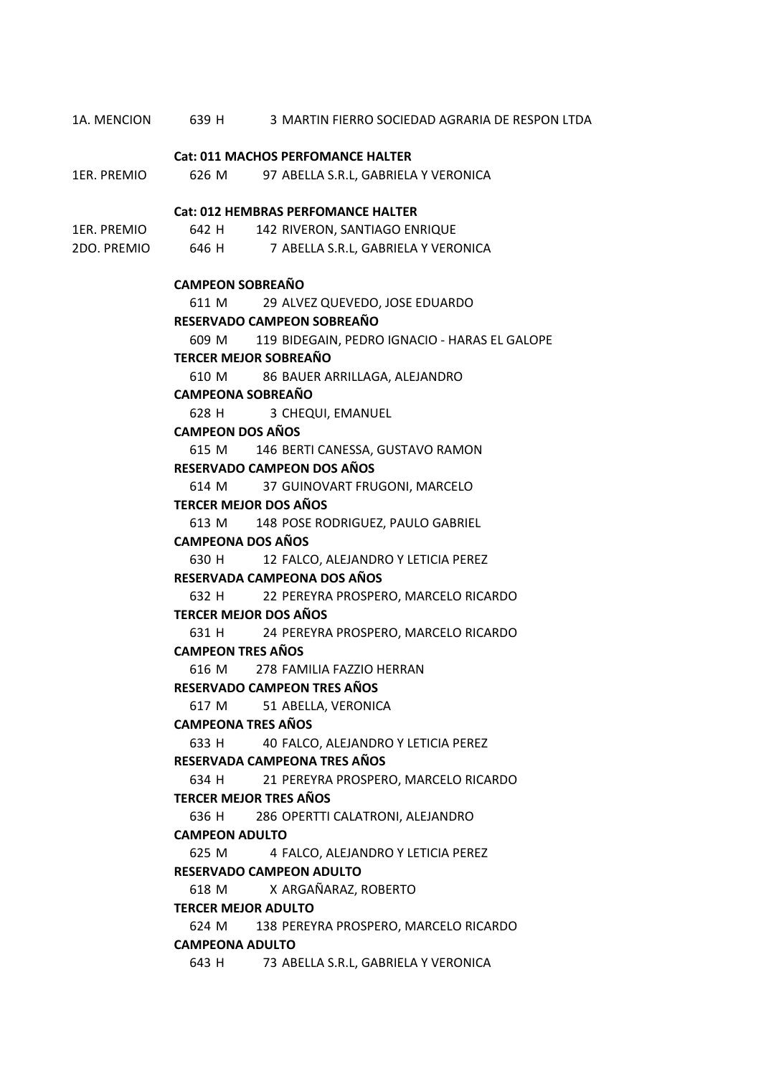1A. MENCION 639 H 3 MARTIN FIERRO SOCIEDAD AGRARIA DE RESPON LTDA 1ER. PREMIO 626 M 97 ABELLA S.R.L, GABRIELA Y VERONICA 1ER. PREMIO 642 H 142 RIVERON, SANTIAGO ENRIQUE 2DO. PREMIO 646 H 7 ABELLA S.R.L, GABRIELA Y VERONICA 611 M 29 ALVEZ QUEVEDO, JOSE EDUARDO 609 M 119 BIDEGAIN, PEDRO IGNACIO ‐ HARAS EL GALOPE 610 M 86 BAUER ARRILLAGA, ALEJANDRO 628 H 3 CHEQUI, EMANUEL 615 M 146 BERTI CANESSA, GUSTAVO RAMON 614 M 37 GUINOVART FRUGONI, MARCELO 613 M 148 POSE RODRIGUEZ, PAULO GABRIEL 630 H 12 FALCO, ALEJANDRO Y LETICIA PEREZ 632 H 22 PEREYRA PROSPERO, MARCELO RICARDO 631 H 24 PEREYRA PROSPERO, MARCELO RICARDO 616 M 278 FAMILIA FAZZIO HERRAN 617 M 51 ABELLA, VERONICA 633 H 40 FALCO, ALEJANDRO Y LETICIA PEREZ 634 H 21 PEREYRA PROSPERO, MARCELO RICARDO 636 H 286 OPERTTI CALATRONI, ALEJANDRO 625 M 4 FALCO, ALEJANDRO Y LETICIA PEREZ 618 M X ARGAÑARAZ, ROBERTO 624 M 138 PEREYRA PROSPERO, MARCELO RICARDO 643 H 73 ABELLA S.R.L, GABRIELA Y VERONICA **TERCER MEJOR ADULTO CAMPEONA ADULTO RESERVADO CAMPEON TRES AÑOS CAMPEONA TRES AÑOS RESERVADA CAMPEONA TRES AÑOS TERCER MEJOR TRES AÑOS CAMPEON ADULTO RESERVADO CAMPEON ADULTO RESERVADO CAMPEON DOS AÑOS TERCER MEJOR DOS AÑOS CAMPEONA DOS AÑOS RESERVADA CAMPEONA DOS AÑOS TERCER MEJOR DOS AÑOS CAMPEON TRES AÑOS Cat: 012 HEMBRAS PERFOMANCE HALTER CAMPEON SOBREAÑO RESERVADO CAMPEON SOBREAÑO TERCER MEJOR SOBREAÑO CAMPEONA SOBREAÑO CAMPEON DOS AÑOS Cat: 011 MACHOS PERFOMANCE HALTER**